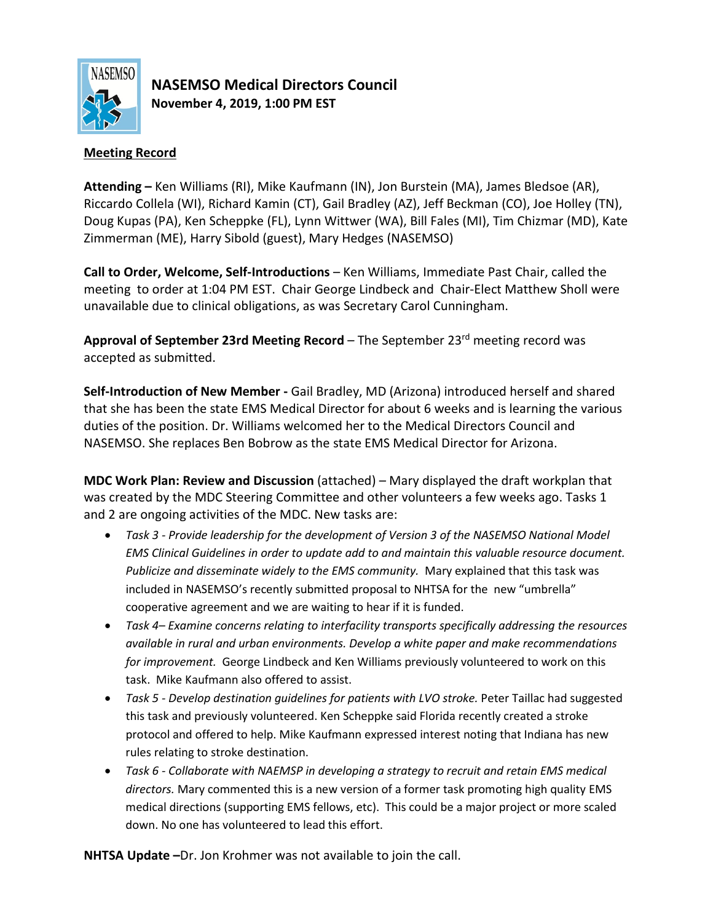

**NASEMSO Medical Directors Council November 4, 2019, 1:00 PM EST**

# **Meeting Record**

**Attending –** Ken Williams (RI), Mike Kaufmann (IN), Jon Burstein (MA), James Bledsoe (AR), Riccardo Collela (WI), Richard Kamin (CT), Gail Bradley (AZ), Jeff Beckman (CO), Joe Holley (TN), Doug Kupas (PA), Ken Scheppke (FL), Lynn Wittwer (WA), Bill Fales (MI), Tim Chizmar (MD), Kate Zimmerman (ME), Harry Sibold (guest), Mary Hedges (NASEMSO)

**Call to Order, Welcome, Self-Introductions** – Ken Williams, Immediate Past Chair, called the meeting to order at 1:04 PM EST. Chair George Lindbeck and Chair-Elect Matthew Sholl were unavailable due to clinical obligations, as was Secretary Carol Cunningham.

**Approval of September 23rd Meeting Record** – The September 23rd meeting record was accepted as submitted.

**Self-Introduction of New Member -** Gail Bradley, MD (Arizona) introduced herself and shared that she has been the state EMS Medical Director for about 6 weeks and is learning the various duties of the position. Dr. Williams welcomed her to the Medical Directors Council and NASEMSO. She replaces Ben Bobrow as the state EMS Medical Director for Arizona.

**MDC Work Plan: Review and Discussion** (attached) – Mary displayed the draft workplan that was created by the MDC Steering Committee and other volunteers a few weeks ago. Tasks 1 and 2 are ongoing activities of the MDC. New tasks are:

- *Task 3 - Provide leadership for the development of Version 3 of the NASEMSO National Model EMS Clinical Guidelines in order to update add to and maintain this valuable resource document. Publicize and disseminate widely to the EMS community.* Mary explained that this task was included in NASEMSO's recently submitted proposal to NHTSA for the new "umbrella" cooperative agreement and we are waiting to hear if it is funded.
- *Task 4– Examine concerns relating to interfacility transports specifically addressing the resources available in rural and urban environments. Develop a white paper and make recommendations for improvement.* George Lindbeck and Ken Williams previously volunteered to work on this task. Mike Kaufmann also offered to assist.
- *Task 5 - Develop destination guidelines for patients with LVO stroke.* Peter Taillac had suggested this task and previously volunteered. Ken Scheppke said Florida recently created a stroke protocol and offered to help. Mike Kaufmann expressed interest noting that Indiana has new rules relating to stroke destination.
- *Task 6 - Collaborate with NAEMSP in developing a strategy to recruit and retain EMS medical directors.* Mary commented this is a new version of a former task promoting high quality EMS medical directions (supporting EMS fellows, etc). This could be a major project or more scaled down. No one has volunteered to lead this effort.

**NHTSA Update –**Dr. Jon Krohmer was not available to join the call.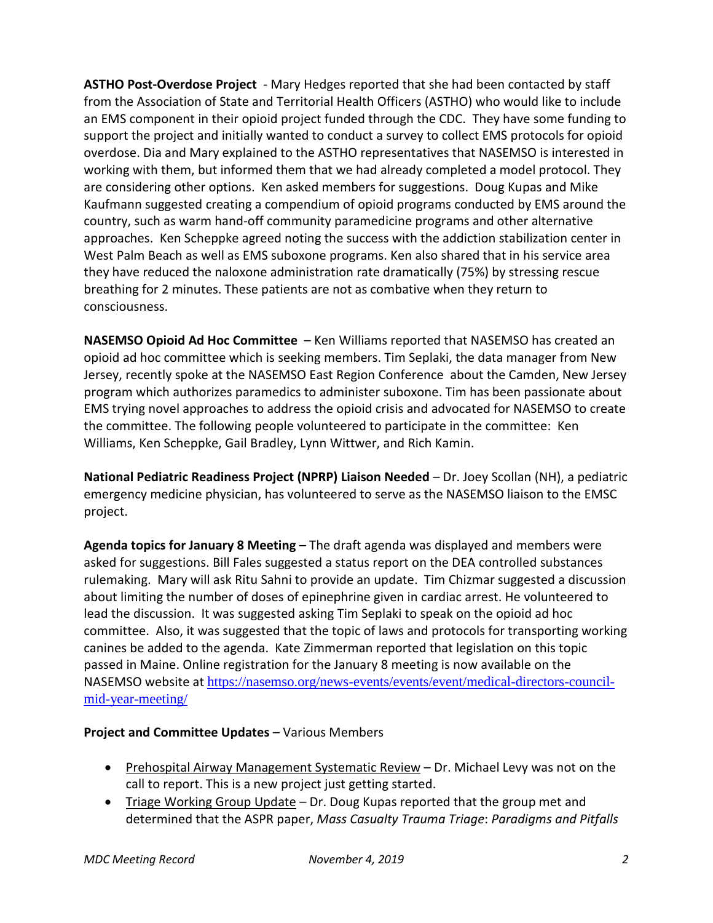**ASTHO Post-Overdose Project** - Mary Hedges reported that she had been contacted by staff from the Association of State and Territorial Health Officers (ASTHO) who would like to include an EMS component in their opioid project funded through the CDC. They have some funding to support the project and initially wanted to conduct a survey to collect EMS protocols for opioid overdose. Dia and Mary explained to the ASTHO representatives that NASEMSO is interested in working with them, but informed them that we had already completed a model protocol. They are considering other options. Ken asked members for suggestions. Doug Kupas and Mike Kaufmann suggested creating a compendium of opioid programs conducted by EMS around the country, such as warm hand-off community paramedicine programs and other alternative approaches. Ken Scheppke agreed noting the success with the addiction stabilization center in West Palm Beach as well as EMS suboxone programs. Ken also shared that in his service area they have reduced the naloxone administration rate dramatically (75%) by stressing rescue breathing for 2 minutes. These patients are not as combative when they return to consciousness.

**NASEMSO Opioid Ad Hoc Committee** – Ken Williams reported that NASEMSO has created an opioid ad hoc committee which is seeking members. Tim Seplaki, the data manager from New Jersey, recently spoke at the NASEMSO East Region Conference about the Camden, New Jersey program which authorizes paramedics to administer suboxone. Tim has been passionate about EMS trying novel approaches to address the opioid crisis and advocated for NASEMSO to create the committee. The following people volunteered to participate in the committee: Ken Williams, Ken Scheppke, Gail Bradley, Lynn Wittwer, and Rich Kamin.

**National Pediatric Readiness Project (NPRP) Liaison Needed** – Dr. Joey Scollan (NH), a pediatric emergency medicine physician, has volunteered to serve as the NASEMSO liaison to the EMSC project.

**Agenda topics for January 8 Meeting** – The draft agenda was displayed and members were asked for suggestions. Bill Fales suggested a status report on the DEA controlled substances rulemaking. Mary will ask Ritu Sahni to provide an update. Tim Chizmar suggested a discussion about limiting the number of doses of epinephrine given in cardiac arrest. He volunteered to lead the discussion. It was suggested asking Tim Seplaki to speak on the opioid ad hoc committee. Also, it was suggested that the topic of laws and protocols for transporting working canines be added to the agenda. Kate Zimmerman reported that legislation on this topic passed in Maine. Online registration for the January 8 meeting is now available on the NASEMSO website at [https://nasemso.org/news-events/events/event/medical-directors-council](https://nasemso.org/news-events/events/event/medical-directors-council-mid-year-meeting/)[mid-year-meeting/](https://nasemso.org/news-events/events/event/medical-directors-council-mid-year-meeting/)

# **Project and Committee Updates** – Various Members

- Prehospital Airway Management Systematic Review Dr. Michael Levy was not on the call to report. This is a new project just getting started.
- Triage Working Group Update Dr. Doug Kupas reported that the group met and determined that the ASPR paper, *Mass Casualty Trauma Triage*: *Paradigms and Pitfalls*